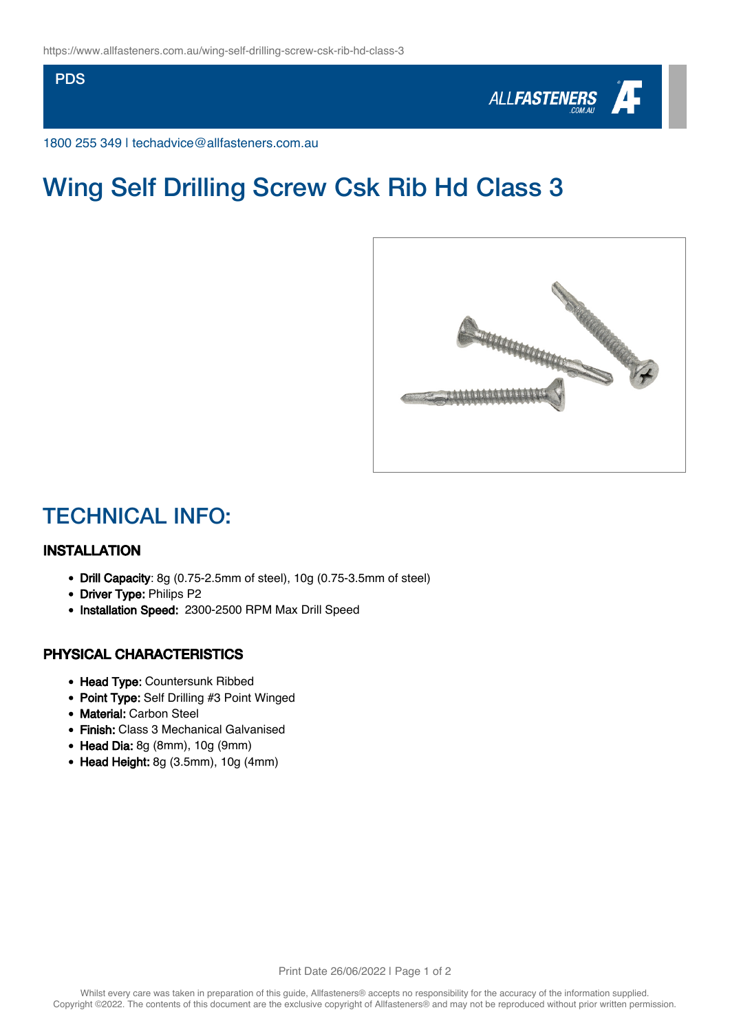**PDS** 



1800 255 349 | techadvice@allfasteners.com.au

# Wing Self Drilling Screw Csk Rib Hd Class 3



### TECHNICAL INFO:

#### INSTALLATION

- Drill Capacity: 8g (0.75-2.5mm of steel), 10g (0.75-3.5mm of steel)
- Driver Type: Philips P2
- Installation Speed: 2300-2500 RPM Max Drill Speed

#### PHYSICAL CHARACTERISTICS

- Head Type: Countersunk Ribbed
- Point Type: Self Drilling #3 Point Winged
- Material: Carbon Steel
- Finish: Class 3 Mechanical Galvanised
- Head Dia: 8g (8mm), 10g (9mm)
- Head Height: 8g (3.5mm), 10g (4mm)

Print Date 26/06/2022 | Page 1 of 2